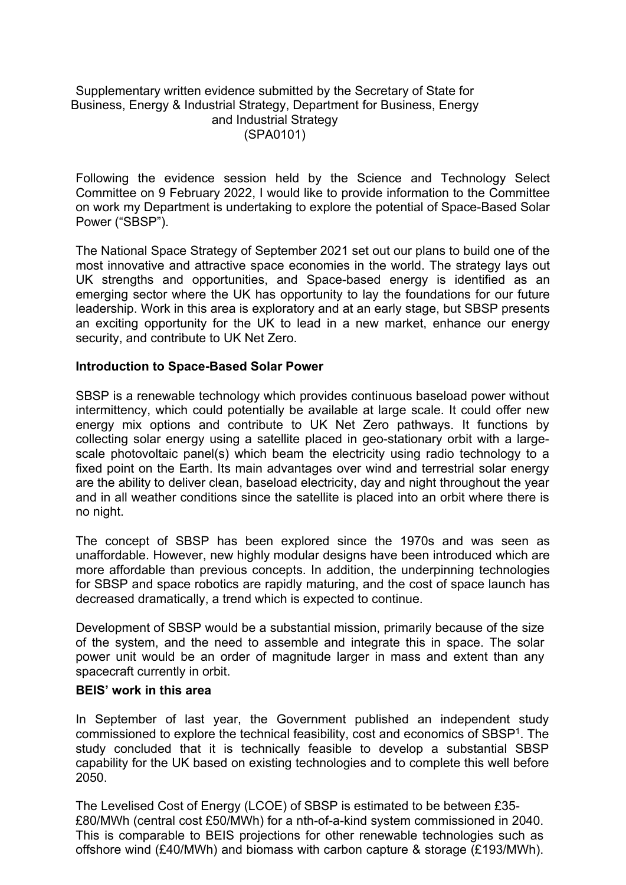## Supplementary written evidence submitted by the Secretary of State for Business, Energy & Industrial Strategy, Department for Business, Energy and Industrial Strategy (SPA0101)

Following the evidence session held by the Science and Technology Select Committee on 9 February 2022, I would like to provide information to the Committee on work my Department is undertaking to explore the potential of Space-Based Solar Power ("SBSP").

The National Space Strategy of September 2021 set out our plans to build one of the most innovative and attractive space economies in the world. The strategy lays out UK strengths and opportunities, and Space-based energy is identified as an emerging sector where the UK has opportunity to lay the foundations for our future leadership. Work in this area is exploratory and at an early stage, but SBSP presents an exciting opportunity for the UK to lead in a new market, enhance our energy security, and contribute to UK Net Zero.

## **Introduction to Space-Based Solar Power**

SBSP is a renewable technology which provides continuous baseload power without intermittency, which could potentially be available at large scale. It could offer new energy mix options and contribute to UK Net Zero pathways. It functions by collecting solar energy using a satellite placed in geo-stationary orbit with a largescale photovoltaic panel(s) which beam the electricity using radio technology to a fixed point on the Earth. Its main advantages over wind and terrestrial solar energy are the ability to deliver clean, baseload electricity, day and night throughout the year and in all weather conditions since the satellite is placed into an orbit where there is no night.

The concept of SBSP has been explored since the 1970s and was seen as unaffordable. However, new highly modular designs have been introduced which are more affordable than previous concepts. In addition, the underpinning technologies for SBSP and space robotics are rapidly maturing, and the cost of space launch has decreased dramatically, a trend which is expected to continue.

Development of SBSP would be a substantial mission, primarily because of the size of the system, and the need to assemble and integrate this in space. The solar power unit would be an order of magnitude larger in mass and extent than any spacecraft currently in orbit.

## **BEIS' work in this area**

In September of last year, the Government published an independent study commissioned to explore the technical feasibility, cost and economics of SBSP<sup>1</sup>. The study concluded that it is technically feasible to develop a substantial SBSP capability for the UK based on existing technologies and to complete this well before 2050.

The Levelised Cost of Energy (LCOE) of SBSP is estimated to be between £35- £80/MWh (central cost £50/MWh) for a nth-of-a-kind system commissioned in 2040. This is comparable to BEIS projections for other renewable technologies such as offshore wind (£40/MWh) and biomass with carbon capture & storage (£193/MWh).